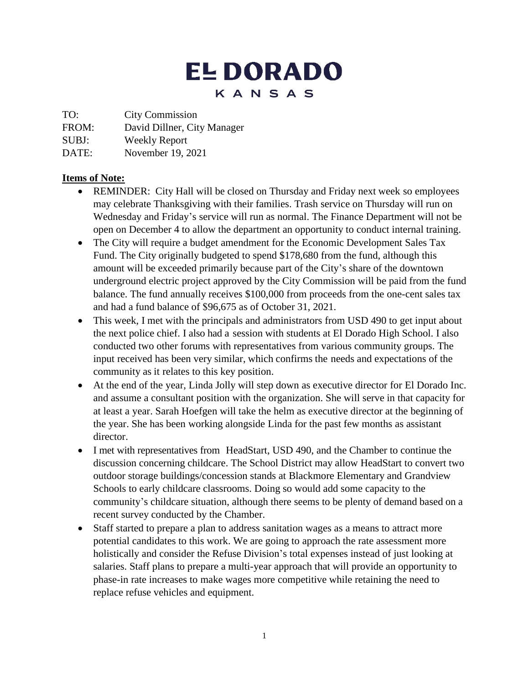# **EL DORADO** KANSAS

TO: City Commission

FROM: David Dillner, City Manager

SUBJ: Weekly Report

DATE: November 19, 2021

#### **Items of Note:**

- REMINDER: City Hall will be closed on Thursday and Friday next week so employees may celebrate Thanksgiving with their families. Trash service on Thursday will run on Wednesday and Friday's service will run as normal. The Finance Department will not be open on December 4 to allow the department an opportunity to conduct internal training.
- The City will require a budget amendment for the Economic Development Sales Tax Fund. The City originally budgeted to spend \$178,680 from the fund, although this amount will be exceeded primarily because part of the City's share of the downtown underground electric project approved by the City Commission will be paid from the fund balance. The fund annually receives \$100,000 from proceeds from the one-cent sales tax and had a fund balance of \$96,675 as of October 31, 2021.
- This week, I met with the principals and administrators from USD 490 to get input about the next police chief. I also had a session with students at El Dorado High School. I also conducted two other forums with representatives from various community groups. The input received has been very similar, which confirms the needs and expectations of the community as it relates to this key position.
- At the end of the year, Linda Jolly will step down as executive director for El Dorado Inc. and assume a consultant position with the organization. She will serve in that capacity for at least a year. Sarah Hoefgen will take the helm as executive director at the beginning of the year. She has been working alongside Linda for the past few months as assistant director.
- I met with representatives from HeadStart, USD 490, and the Chamber to continue the discussion concerning childcare. The School District may allow HeadStart to convert two outdoor storage buildings/concession stands at Blackmore Elementary and Grandview Schools to early childcare classrooms. Doing so would add some capacity to the community's childcare situation, although there seems to be plenty of demand based on a recent survey conducted by the Chamber.
- Staff started to prepare a plan to address sanitation wages as a means to attract more potential candidates to this work. We are going to approach the rate assessment more holistically and consider the Refuse Division's total expenses instead of just looking at salaries. Staff plans to prepare a multi-year approach that will provide an opportunity to phase-in rate increases to make wages more competitive while retaining the need to replace refuse vehicles and equipment.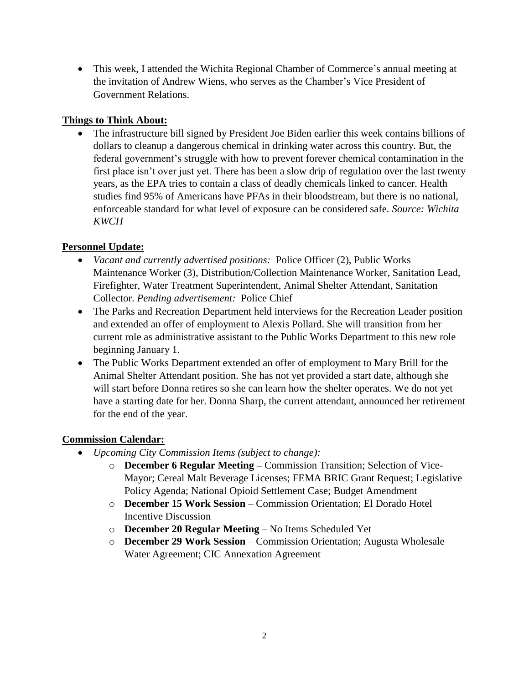This week, I attended the Wichita Regional Chamber of Commerce's annual meeting at the invitation of Andrew Wiens, who serves as the Chamber's Vice President of Government Relations.

### **Things to Think About:**

• The infrastructure bill signed by President Joe Biden earlier this week contains billions of dollars to cleanup a dangerous chemical in drinking water across this country. But, the federal government's struggle with how to prevent forever chemical contamination in the first place isn't over just yet. There has been a slow drip of regulation over the last twenty years, as the EPA tries to contain a class of deadly chemicals linked to cancer. Health studies find 95% of Americans have PFAs in their bloodstream, but there is no national, enforceable standard for what level of exposure can be considered safe. *Source: Wichita KWCH*

## **Personnel Update:**

- *Vacant and currently advertised positions:* Police Officer (2), Public Works Maintenance Worker (3), Distribution/Collection Maintenance Worker, Sanitation Lead, Firefighter, Water Treatment Superintendent, Animal Shelter Attendant, Sanitation Collector. *Pending advertisement:* Police Chief
- The Parks and Recreation Department held interviews for the Recreation Leader position and extended an offer of employment to Alexis Pollard. She will transition from her current role as administrative assistant to the Public Works Department to this new role beginning January 1.
- The Public Works Department extended an offer of employment to Mary Brill for the Animal Shelter Attendant position. She has not yet provided a start date, although she will start before Donna retires so she can learn how the shelter operates. We do not yet have a starting date for her. Donna Sharp, the current attendant, announced her retirement for the end of the year.

## **Commission Calendar:**

- *Upcoming City Commission Items (subject to change):*
	- o **December 6 Regular Meeting –** Commission Transition; Selection of Vice-Mayor; Cereal Malt Beverage Licenses; FEMA BRIC Grant Request; Legislative Policy Agenda; National Opioid Settlement Case; Budget Amendment
	- o **December 15 Work Session** Commission Orientation; El Dorado Hotel Incentive Discussion
	- o **December 20 Regular Meeting** No Items Scheduled Yet
	- o **December 29 Work Session**  Commission Orientation; Augusta Wholesale Water Agreement; CIC Annexation Agreement